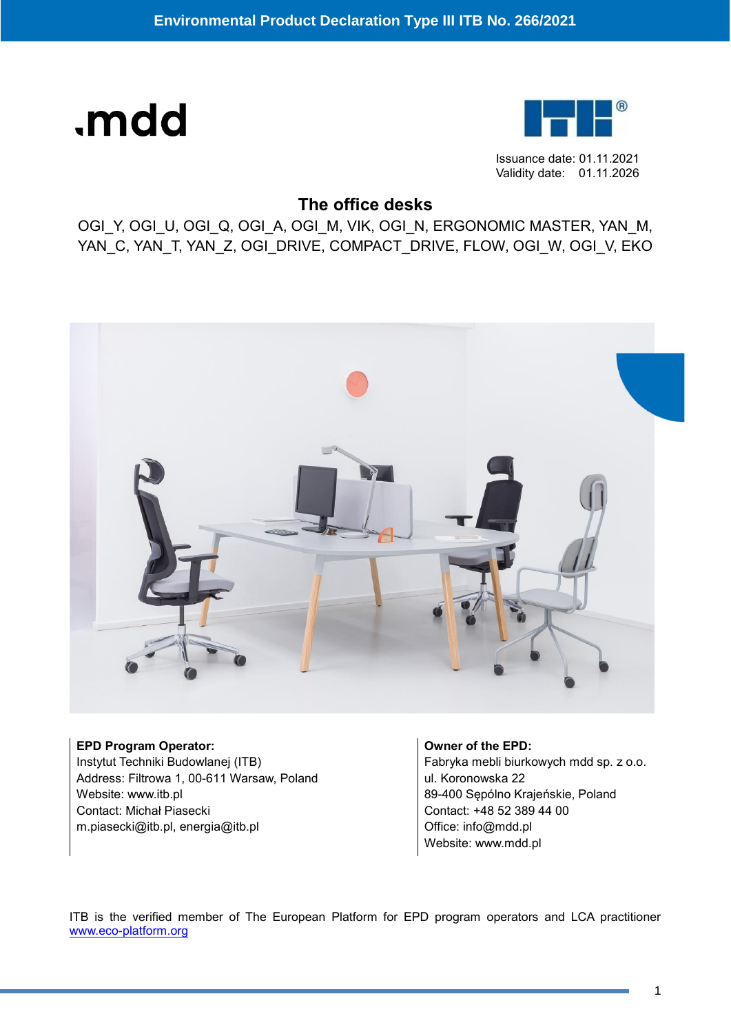# .mdd



Issuance date: 01.11.2021 Validity date: 01.11.2026

## **The office desks**

OGI\_Y, OGI\_U, OGI\_Q, OGI\_A, OGI\_M, VIK, OGI\_N, ERGONOMIC MASTER, YAN\_M, YAN\_C, YAN\_T, YAN\_Z, OGI\_DRIVE, COMPACT\_DRIVE, FLOW, OGI\_W, OGI\_V, EKO



**EPD Program Operator:** Instytut Techniki Budowlanej (ITB) Address: Filtrowa 1, 00-611 Warsaw, Poland Website: www.itb.pl Contact: Michał Piasecki m.piasecki@itb.pl, energia@itb.pl

**Owner of the EPD:** Fabryka mebli biurkowych mdd sp. z o.o. ul. Koronowska 22 89-400 Sępólno Krajeńskie, Poland Contact: +48 52 389 44 00 Office: info@mdd.pl Website: www.mdd.pl

ITB is the verified member of The European Platform for EPD program operators and LCA practitioner [www.eco-platform.org](http://www.eco-platform.org/)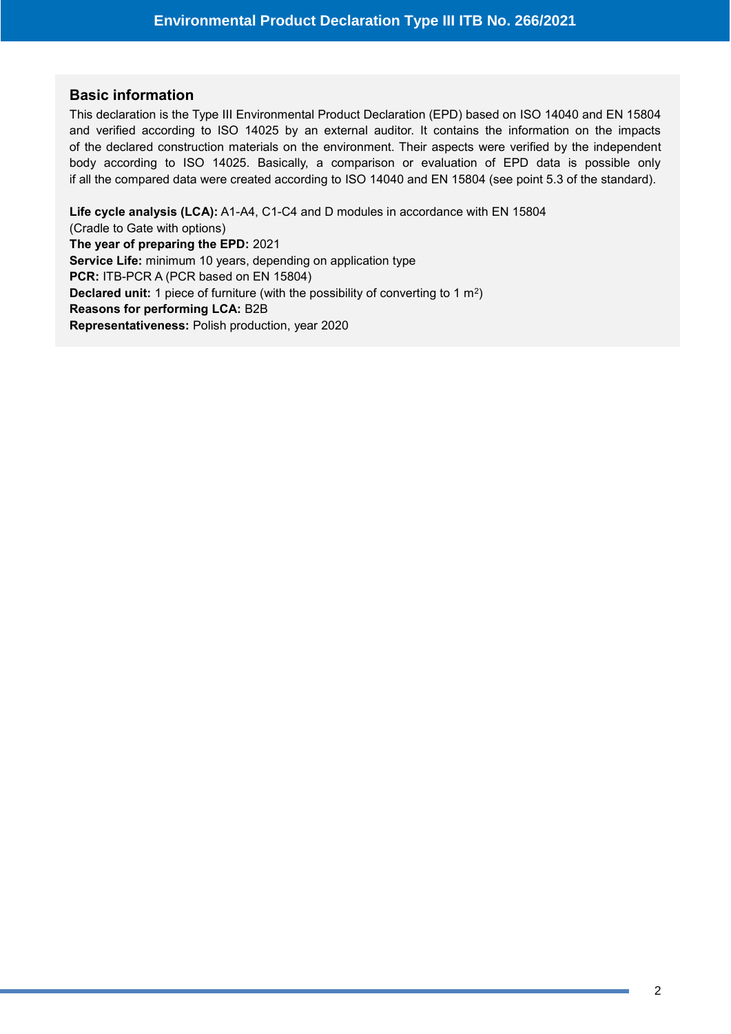#### **Basic information**

This declaration is the Type III Environmental Product Declaration (EPD) based on ISO 14040 and EN 15804 and verified according to ISO 14025 by an external auditor. It contains the information on the impacts of the declared construction materials on the environment. Their aspects were verified by the independent body according to ISO 14025. Basically, a comparison or evaluation of EPD data is possible only if all the compared data were created according to ISO 14040 and EN 15804 (see point 5.3 of the standard).

**Life cycle analysis (LCA):** A1-A4, C1-C4 and D modules in accordance with EN 15804 (Cradle to Gate with options) **The year of preparing the EPD:** 2021 **Service Life:** minimum 10 years, depending on application type **PCR:** ITB-PCR A (PCR based on EN 15804) **Declared unit:** 1 piece of furniture (with the possibility of converting to 1 m<sup>2</sup>) **Reasons for performing LCA:** B2B **Representativeness:** Polish production, year 2020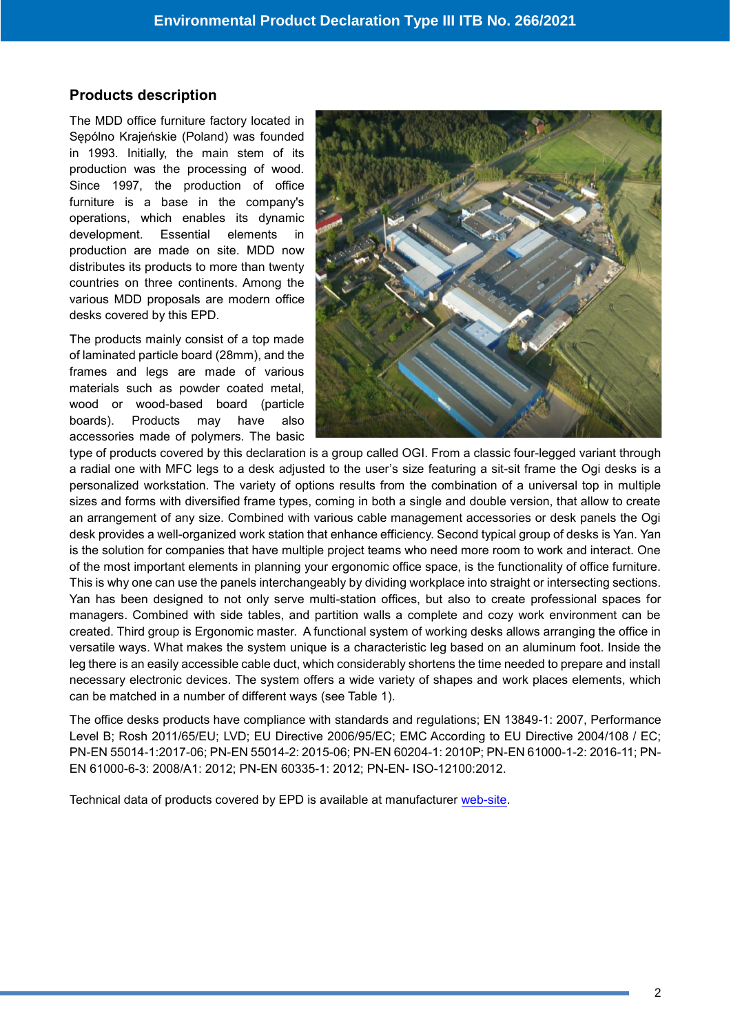#### **Products description**

The MDD office furniture factory located in Sępólno Krajeńskie (Poland) was founded in 1993. Initially, the main stem of its production was the processing of wood. Since 1997, the production of office furniture is a base in the company's operations, which enables its dynamic development. Essential elements in production are made on site. [MDD](https://www.archiproducts.com/en/mdd) now distributes its products to more than twenty countries on three continents. Among the various MDD proposals are modern office desks covered by this EPD.

The products mainly consist of a top made of laminated particle board (28mm), and the frames and legs are made of various materials such as powder coated metal, wood or wood-based board (particle boards). Products may have also accessories made of polymers. The basic



type of products covered by this declaration is a group called OGI. From a classic four-legged variant through a radial one with MFC legs to a desk adjusted to the user's size featuring a sit-sit frame the Ogi desks is a personalized workstation. The variety of options results from the combination of a universal top in multiple sizes and forms with diversified frame types, coming in both a single and double version, that allow to create an arrangement of any size. Combined with various cable management accessories or desk panels the Ogi desk provides a well-organized work station that enhance efficiency. Second typical group of desks is Yan. Yan is the solution for companies that have multiple project teams who need more room to work and interact. One of the most important elements in planning your ergonomic office space, is the functionality of office furniture. This is why one can use the panels interchangeably by dividing workplace into straight or intersecting sections. Yan has been designed to not only serve multi-station offices, but also to create professional spaces for managers. Combined with side tables, and partition walls a complete and cozy work environment can be created. Third group is Ergonomic master. A functional system of working desks allows arranging the office in versatile ways. What makes the system unique is a characteristic leg based on an aluminum foot. Inside the leg there is an easily accessible cable duct, which considerably shortens the time needed to prepare and install necessary electronic devices. The system offers a wide variety of shapes and work places elements, which can be matched in a number of different ways (see Table 1).

The office desks products have compliance with standards and regulations; EN 13849-1: 2007, Performance Level B; Rosh 2011/65/EU; LVD; EU Directive 2006/95/EC; EMC According to EU Directive 2004/108 / EC; PN-EN 55014-1:2017-06; PN-EN 55014-2: 2015-06; PN-EN 60204-1: 2010P; PN-EN 61000-1-2: 2016-11; PN-EN 61000-6-3: 2008/A1: 2012; PN-EN 60335-1: 2012; PN-EN- ISO-12100:2012.

Technical data of products covered by EPD is available at manufacturer [web-site.](https://mdd.eu/media/download/operative-ranges-1_19-1.pdf)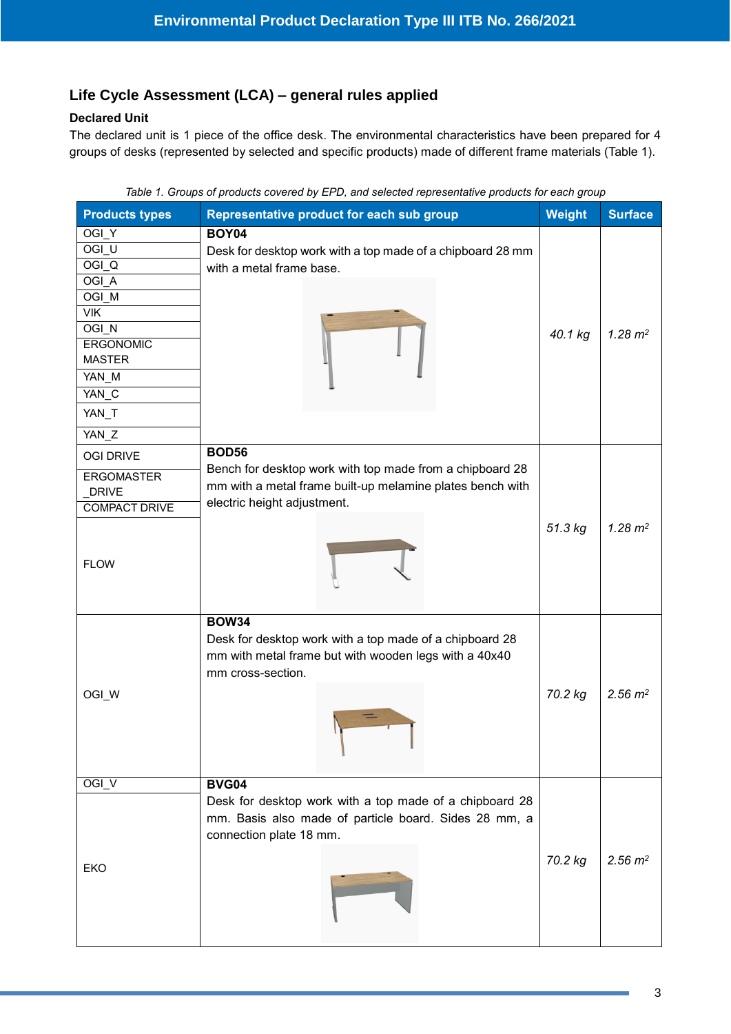#### **/2020 Life Cycle Assessment (LCA) – general rules applied**

#### **Declared Unit**

The declared unit is 1 piece of the office desk. The environmental characteristics have been prepared for 4 groups of desks (represented by selected and specific products) made of different frame materials (Table 1).

| <b>Products types</b>                                                                                                                              | Representative product for each sub group                                                                                                                            | <b>Weight</b> | <b>Surface</b>       |
|----------------------------------------------------------------------------------------------------------------------------------------------------|----------------------------------------------------------------------------------------------------------------------------------------------------------------------|---------------|----------------------|
| OGI_Y<br>OGI <sub>U</sub><br>$OGI_Q$<br>OGI_A<br>OGI_M<br>$V$ IK<br>OGI_N<br><b>ERGONOMIC</b><br><b>MASTER</b><br>YAN_M<br>YAN_C<br>YAN_T<br>YAN_Z | <b>BOY04</b><br>Desk for desktop work with a top made of a chipboard 28 mm<br>with a metal frame base.                                                               | 40.1 kg       | $1.28 \; \text{m}^2$ |
| <b>OGI DRIVE</b><br><b>ERGOMASTER</b><br><b>DRIVE</b><br><b>COMPACT DRIVE</b><br><b>FLOW</b>                                                       | <b>BOD56</b><br>Bench for desktop work with top made from a chipboard 28<br>mm with a metal frame built-up melamine plates bench with<br>electric height adjustment. | 51.3 kg       | $1.28 \; \text{m}^2$ |
| OGI_W                                                                                                                                              | <b>BOW34</b><br>Desk for desktop work with a top made of a chipboard 28<br>mm with metal frame but with wooden legs with a 40x40<br>mm cross-section.                | 70.2 kg       | $2.56 \; m^2$        |
| OGI_V                                                                                                                                              | <b>BVG04</b>                                                                                                                                                         |               |                      |
| EKO                                                                                                                                                | Desk for desktop work with a top made of a chipboard 28<br>mm. Basis also made of particle board. Sides 28 mm, a<br>connection plate 18 mm.                          | 70.2 kg       | $2.56 \; m^2$        |

*Table 1. Groups of products covered by EPD, and selected representative products for each group*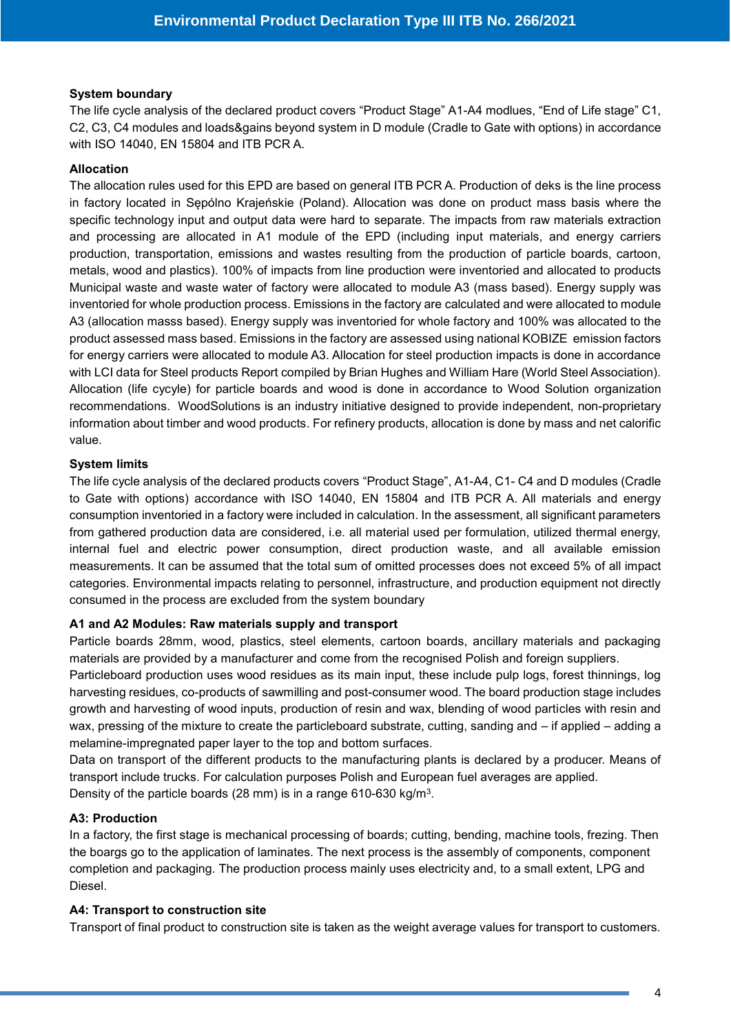#### **System boundary**

The life cycle analysis of the declared product covers "Product Stage" A1-A4 modlues, "End of Life stage" C1, C2, C3, C4 modules and loads&gains beyond system in D module (Cradle to Gate with options) in accordance with ISO 14040, EN 15804 and ITB PCR A.

#### **Allocation**

The allocation rules used for this EPD are based on general ITB PCR A. Production of deks is the line process in factory located in Sępólno Krajeńskie (Poland). Allocation was done on product mass basis where the specific technology input and output data were hard to separate. The impacts from raw materials extraction and processing are allocated in A1 module of the EPD (including input materials, and energy carriers production, transportation, emissions and wastes resulting from the production of particle boards, cartoon, metals, wood and plastics). 100% of impacts from line production were inventoried and allocated to products Municipal waste and waste water of factory were allocated to module A3 (mass based). Energy supply was inventoried for whole production process. Emissions in the factory are calculated and were allocated to module A3 (allocation masss based). Energy supply was inventoried for whole factory and 100% was allocated to the product assessed mass based. Emissions in the factory are assessed using national KOBIZE emission factors for energy carriers were allocated to module A3. Allocation for steel production impacts is done in accordance with LCI data for Steel products Report compiled by Brian Hughes and William Hare (World Steel Association). Allocation (life cycyle) for particle boards and wood is done in accordance to Wood Solution organization recommendations. WoodSolutions is an industry initiative designed to provide independent, non-proprietary information about timber and wood products. For refinery products, allocation is done by mass and net calorific value.

#### **System limits**

The life cycle analysis of the declared products covers "Product Stage", A1-A4, C1- C4 and D modules (Cradle to Gate with options) accordance with ISO 14040, EN 15804 and ITB PCR A. All materials and energy consumption inventoried in a factory were included in calculation. In the assessment, all significant parameters from gathered production data are considered, i.e. all material used per formulation, utilized thermal energy, internal fuel and electric power consumption, direct production waste, and all available emission measurements. It can be assumed that the total sum of omitted processes does not exceed 5% of all impact categories. Environmental impacts relating to personnel, infrastructure, and production equipment not directly consumed in the process are excluded from the system boundary

#### **A1 and A2 Modules: Raw materials supply and transport**

Particle boards 28mm, wood, plastics, steel elements, cartoon boards, ancillary materials and packaging materials are provided by a manufacturer and come from the recognised Polish and foreign suppliers.

Particleboard production uses wood residues as its main input, these include pulp logs, forest thinnings, log harvesting residues, co-products of sawmilling and post-consumer wood. The board production stage includes growth and harvesting of wood inputs, production of resin and wax, blending of wood particles with resin and wax, pressing of the mixture to create the particleboard substrate, cutting, sanding and – if applied – adding a melamine-impregnated paper layer to the top and bottom surfaces.

Data on transport of the different products to the manufacturing plants is declared by a producer. Means of transport include trucks. For calculation purposes Polish and European fuel averages are applied. Density of the particle boards (28 mm) is in a range 610-630 kg/m<sup>3</sup>.

#### **A3: Production**

In a factory, the first stage is mechanical processing of boards; cutting, bending, machine tools, frezing. Then the boargs go to the application of laminates. The next process is the assembly of components, component completion and packaging. The production process mainly uses electricity and, to a small extent, LPG and Diesel.

#### **A4: Transport to construction site**

Transport of final product to construction site is taken as the weight average values for transport to customers.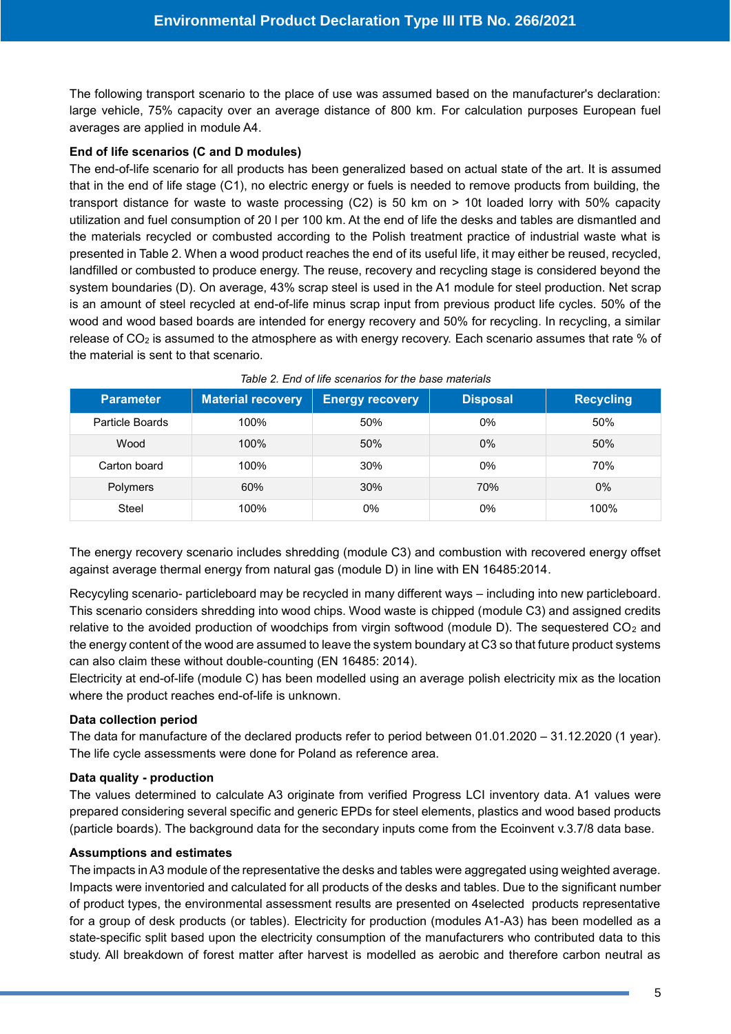The following transport scenario to the place of use was assumed based on the manufacturer's declaration: large vehicle, 75% capacity over an average distance of 800 km. For calculation purposes European fuel averages are applied in module A4.

#### **End of life scenarios (C and D modules)**

The end-of-life scenario for all products has been generalized based on actual state of the art. It is assumed that in the end of life stage (C1), no electric energy or fuels is needed to remove products from building, the transport distance for waste to waste processing (C2) is 50 km on > 10t loaded lorry with 50% capacity utilization and fuel consumption of 20 l per 100 km. At the end of life the desks and tables are dismantled and the materials recycled or combusted according to the Polish treatment practice of industrial waste what is presented in Table 2. When a wood product reaches the end of its useful life, it may either be reused, recycled, landfilled or combusted to produce energy. The reuse, recovery and recycling stage is considered beyond the system boundaries (D). On average, 43% scrap steel is used in the A1 module for steel production. Net scrap is an amount of steel recycled at end-of-life minus scrap input from previous product life cycles. 50% of the wood and wood based boards are intended for energy recovery and 50% for recycling. In recycling, a similar release of CO<sub>2</sub> is assumed to the atmosphere as with energy recovery. Each scenario assumes that rate % of the material is sent to that scenario.

| Parameter       | <b>Material recovery</b> | <b>Energy recovery</b> | <b>Disposal</b> | <b>Recycling</b> |
|-----------------|--------------------------|------------------------|-----------------|------------------|
| Particle Boards | 100%                     | 50%                    | 0%              | 50%              |
| Wood            | 100%                     | 50%                    | $0\%$           | 50%              |
| Carton board    | 100%                     | 30%                    | $0\%$           | 70%              |
| Polymers        | 60%                      | 30%                    | 70%             | $0\%$            |
| Steel           | 100%                     | 0%                     | 0%              | 100%             |

| Table 2. End of life scenarios for the base materials |  |
|-------------------------------------------------------|--|
|-------------------------------------------------------|--|

The energy recovery scenario includes shredding (module C3) and combustion with recovered energy offset against average thermal energy from natural gas (module D) in line with EN 16485:2014.

Recycyling scenario- particleboard may be recycled in many different ways – including into new particleboard. This scenario considers shredding into wood chips. Wood waste is chipped (module C3) and assigned credits relative to the avoided production of woodchips from virgin softwood (module D). The sequestered  $CO<sub>2</sub>$  and the energy content of the wood are assumed to leave the system boundary at C3 so that future product systems can also claim these without double-counting (EN 16485: 2014).

Electricity at end-of-life (module C) has been modelled using an average polish electricity mix as the location where the product reaches end-of-life is unknown.

#### **Data collection period**

The data for manufacture of the declared products refer to period between 01.01.2020 – 31.12.2020 (1 year). The life cycle assessments were done for Poland as reference area.

#### **Data quality - production**

The values determined to calculate A3 originate from verified Progress LCI inventory data. A1 values were prepared considering several specific and generic EPDs for steel elements, plastics and wood based products (particle boards). The background data for the secondary inputs come from the Ecoinvent v.3.7/8 data base.

#### **Assumptions and estimates**

The impacts in A3 module of the representative the desks and tables were aggregated using weighted average. Impacts were inventoried and calculated for all products of the desks and tables. Due to the significant number of product types, the environmental assessment results are presented on 4selected products representative for a group of desk products (or tables). Electricity for production (modules A1-A3) has been modelled as a state-specific split based upon the electricity consumption of the manufacturers who contributed data to this study. All breakdown of forest matter after harvest is modelled as aerobic and therefore carbon neutral as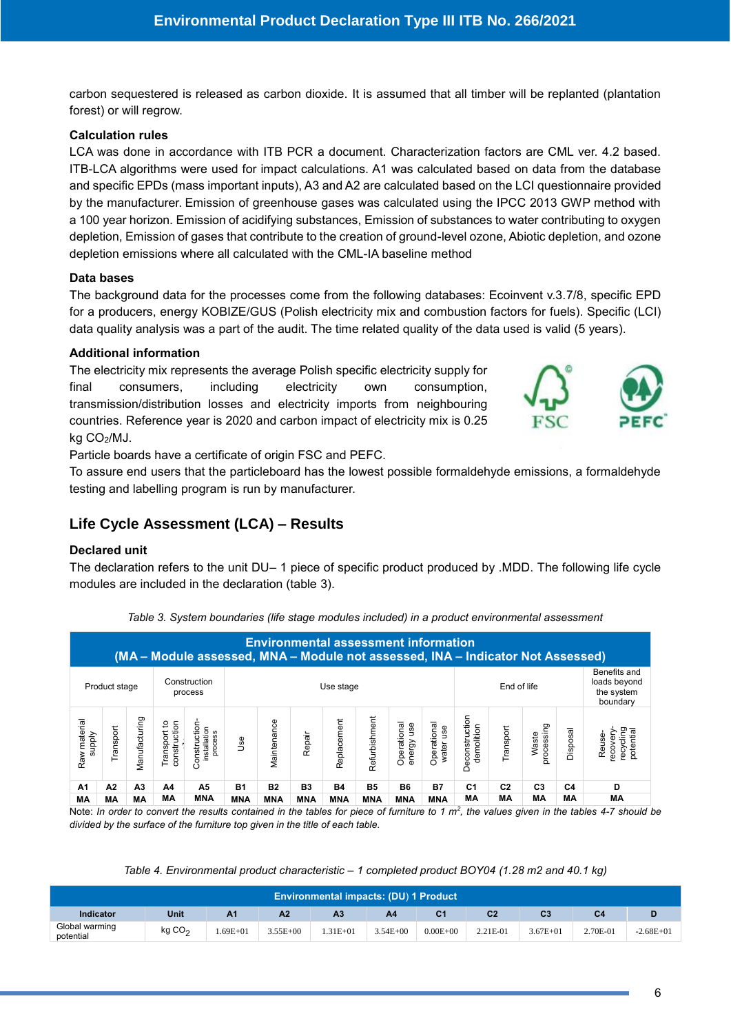**/2020** carbon sequestered is released as carbon dioxide. It is assumed that all timber will be replanted (plantation forest) or will regrow.

#### **Calculation rules**

LCA was done in accordance with ITB PCR a document. Characterization factors are CML ver. 4.2 based. ITB-LCA algorithms were used for impact calculations. A1 was calculated based on data from the database and specific EPDs (mass important inputs), A3 and A2 are calculated based on the LCI questionnaire provided by the manufacturer. Emission of greenhouse gases was calculated using the IPCC 2013 GWP method with a 100 year horizon. Emission of acidifying substances, Emission of substances to water contributing to oxygen depletion, Emission of gases that contribute to the creation of ground-level ozone, Abiotic depletion, and ozone depletion emissions where all calculated with the CML-IA baseline method

#### **Data bases**

The background data for the processes come from the following databases: Ecoinvent v.3.7/8, specific EPD for a producers, energy KOBIZE/GUS (Polish electricity mix and combustion factors for fuels). Specific (LCI) data quality analysis was a part of the audit. The time related quality of the data used is valid (5 years).

#### **Additional information**

The electricity mix represents the average Polish specific electricity supply for final consumers, including electricity own consumption, transmission/distribution losses and electricity imports from neighbouring countries. Reference year is 2020 and carbon impact of electricity mix is 0.25 kg CO2/MJ.



Particle boards have a certificate of origin FSC and PEFC.

To assure end users that the particleboard has the lowest possible formaldehyde emissions, a formaldehyde testing and labelling program is run by manufacturer.

# **Life Cycle Assessment (LCA) – Results**

#### **Declared unit**

The declaration refers to the unit DU– 1 piece of specific product produced by .MDD. The following life cycle modules are included in the declaration (table 3).

|                                                                      | <b>Environmental assessment information</b><br>(MA – Module assessed, MNA – Module not assessed, INA – Indicator Not Assessed) |               |                                |                                         |            |             |            |             |               |                              |                                                        |                              |                |                    |          |                                             |
|----------------------------------------------------------------------|--------------------------------------------------------------------------------------------------------------------------------|---------------|--------------------------------|-----------------------------------------|------------|-------------|------------|-------------|---------------|------------------------------|--------------------------------------------------------|------------------------------|----------------|--------------------|----------|---------------------------------------------|
| Construction<br>End of life<br>Use stage<br>Product stage<br>process |                                                                                                                                |               |                                |                                         |            |             |            |             |               |                              | Benefits and<br>loads beyond<br>the system<br>boundary |                              |                |                    |          |                                             |
| Raw material<br><b>Addns</b>                                         | Transport                                                                                                                      | Manufacturing | construction<br>ೆ<br>Transport | Construction<br>installation<br>process | <b>Jse</b> | Maintenance | Repair     | Replacement | Refurbishment | Operational<br>use<br>energy | Operational<br>vater use                               | Deconstruction<br>demolition | Transport      | priessing<br>Waste | Disposal | recycling<br>potential<br>ecovery<br>Reuse- |
| A1                                                                   | А2                                                                                                                             | A3            | A4                             | A5                                      | <b>B1</b>  | <b>B2</b>   | В3         | <b>B4</b>   | <b>B5</b>     | <b>B6</b>                    | <b>B7</b>                                              | C1                           | C <sub>2</sub> | C <sub>3</sub>     | C4       | D                                           |
| МA                                                                   | MА                                                                                                                             | МA            | МA                             | <b>MNA</b>                              | <b>MNA</b> | <b>MNA</b>  | <b>MNA</b> | <b>MNA</b>  | <b>MNA</b>    | <b>MNA</b>                   | <b>MNA</b>                                             | МA                           | МA             | МA                 | MА       | МA                                          |

*Table 3. System boundaries (life stage modules included) in a product environmental assessment* 

Note: In order to convert the results contained in the tables for piece of furniture to 1 m<sup>2</sup>, the values given in the tables 4-7 should be *divided by the surface of the furniture top given in the title of each table.*

*Table 4. Environmental product characteristic – 1 completed product BOY04 (1.28 m2 and 40.1 kg)*

| <b>Environmental impacts: (DU) 1 Product</b> |                    |                |              |                |              |              |                |                |          |               |  |  |  |
|----------------------------------------------|--------------------|----------------|--------------|----------------|--------------|--------------|----------------|----------------|----------|---------------|--|--|--|
| Indicator                                    | Unit               | A <sub>1</sub> | A2           | A <sub>3</sub> | A4           | C1           | C <sub>2</sub> | C <sub>3</sub> | C4       |               |  |  |  |
| Global warming<br>potential                  | kg CO <sub>2</sub> | $.69E + 01$    | $3.55E + 00$ | $.31E + 01$    | $3.54E + 00$ | $0.00E + 00$ | 2.21E-01       | $3.67E + 01$   | 2.70E-01 | $-2.68E + 01$ |  |  |  |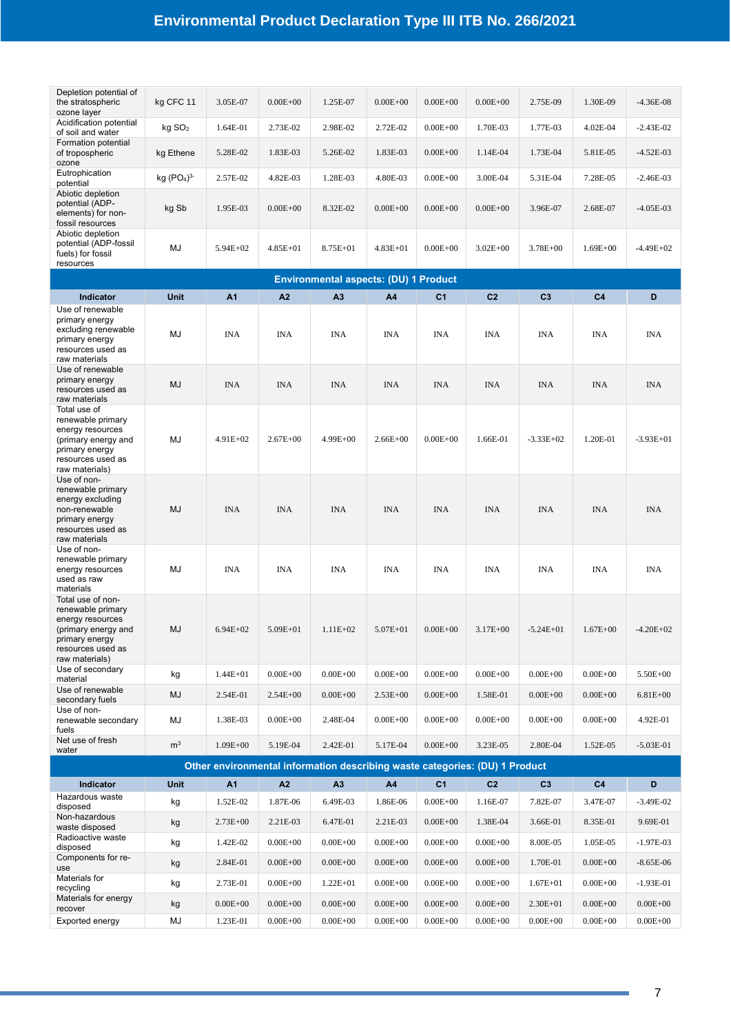| the stratospheric<br>ozone layer                                                                                                           | kg CFC 11                          | 3.05E-07       | $0.00E + 00$   | 1.25E-07                                                                    | $0.00E + 00$ | $0.00E + 00$   | $0.00E + 00$   | 2.75E-09       | 1.30E-09       | $-4.36E-08$   |
|--------------------------------------------------------------------------------------------------------------------------------------------|------------------------------------|----------------|----------------|-----------------------------------------------------------------------------|--------------|----------------|----------------|----------------|----------------|---------------|
| Acidification potential<br>of soil and water                                                                                               | kg SO <sub>2</sub>                 | 1.64E-01       | 2.73E-02       | 2.98E-02                                                                    | 2.72E-02     | $0.00E + 00$   | 1.70E-03       | 1.77E-03       | 4.02E-04       | $-2.43E-02$   |
| Formation potential<br>of tropospheric<br>ozone                                                                                            | kg Ethene                          | 5.28E-02       | 1.83E-03       | 5.26E-02                                                                    | 1.83E-03     | $0.00E + 00$   | 1.14E-04       | 1.73E-04       | 5.81E-05       | $-4.52E-03$   |
| Eutrophication<br>potential                                                                                                                | kg (PO <sub>4</sub> ) <sup>3</sup> | 2.57E-02       | 4.82E-03       | 1.28E-03                                                                    | 4.80E-03     | $0.00E + 00$   | 3.00E-04       | 5.31E-04       | 7.28E-05       | $-2.46E-03$   |
| Abiotic depletion<br>potential (ADP-<br>elements) for non-<br>fossil resources                                                             | kg Sb                              | 1.95E-03       | $0.00E + 00$   | 8.32E-02                                                                    | $0.00E + 00$ | $0.00E + 00$   | $0.00E + 00$   | 3.96E-07       | 2.68E-07       | $-4.05E-03$   |
| Abiotic depletion<br>potential (ADP-fossil<br>fuels) for fossil<br>resources                                                               | MJ                                 | $5.94E+02$     | $4.85E + 01$   | $8.75E + 01$                                                                | $4.83E + 01$ | $0.00E + 00$   | $3.02E + 00$   | $3.78E + 00$   | $1.69E + 00$   | $-4.49E+02$   |
|                                                                                                                                            |                                    |                |                | <b>Environmental aspects: (DU) 1 Product</b>                                |              |                |                |                |                |               |
| Indicator                                                                                                                                  | Unit                               | A <sub>1</sub> | A <sub>2</sub> | A <sub>3</sub>                                                              | A4           | C <sub>1</sub> | C <sub>2</sub> | C <sub>3</sub> | C <sub>4</sub> | D             |
| Use of renewable<br>primary energy<br>excluding renewable<br>primary energy<br>resources used as<br>raw materials                          | MJ                                 | <b>INA</b>     | <b>INA</b>     | <b>INA</b>                                                                  | <b>INA</b>   | <b>INA</b>     | <b>INA</b>     | <b>INA</b>     | <b>INA</b>     | <b>INA</b>    |
| Use of renewable<br>primary energy<br>resources used as<br>raw materials                                                                   | MJ                                 | <b>INA</b>     | <b>INA</b>     | <b>INA</b>                                                                  | <b>INA</b>   | <b>INA</b>     | <b>INA</b>     | <b>INA</b>     | <b>INA</b>     | <b>INA</b>    |
| Total use of<br>renewable primary<br>energy resources<br>(primary energy and<br>primary energy<br>resources used as<br>raw materials)      | MJ                                 | $4.91E+02$     | $2.67E + 00$   | 4.99E+00                                                                    | $2.66E + 00$ | $0.00E + 00$   | 1.66E-01       | $-3.33E+02$    | 1.20E-01       | $-3.93E+01$   |
| Use of non-<br>renewable primary<br>energy excluding<br>non-renewable<br>primary energy<br>resources used as<br>raw materials              | <b>MJ</b>                          | <b>INA</b>     | <b>INA</b>     | <b>INA</b>                                                                  | <b>INA</b>   | <b>INA</b>     | <b>INA</b>     | <b>INA</b>     | <b>INA</b>     | <b>INA</b>    |
| Use of non-<br>renewable primary<br>energy resources<br>used as raw<br>materials                                                           | MJ                                 | INA            | <b>INA</b>     | <b>INA</b>                                                                  | <b>INA</b>   | <b>INA</b>     | INA            | <b>INA</b>     | <b>INA</b>     | <b>INA</b>    |
| Total use of non-<br>renewable primary<br>energy resources<br>(primary energy and<br>primary energy<br>resources used as<br>raw materials) | <b>MJ</b>                          | $6.94E + 02$   | $5.09E + 01$   | $1.11E + 02$                                                                | 5.07E+01     | $0.00E + 00$   | $3.17E + 00$   | $-5.24E + 01$  | $1.67E + 00$   | $-4.20E + 02$ |
| Use of secondary<br>material                                                                                                               | kg                                 | $1.44E + 01$   | $0.00E + 00$   | $0.00E + 00$                                                                | $0.00E + 00$ | $0.00E + 00$   | $0.00E + 00$   | $0.00E + 00$   | $0.00E + 00$   | 5.50E+00      |
| Use of renewable<br>secondary fuels                                                                                                        | MJ                                 | 2.54E-01       | $2.54E + 00$   | $0.00E + 00$                                                                | $2.53E + 00$ | $0.00E + 00$   | 1.58E-01       | $0.00E + 00$   | $0.00E + 00$   | $6.81E + 00$  |
| Use of non-<br>renewable secondary<br>fuels                                                                                                | MJ                                 | 1.38E-03       | $0.00E + 00$   | 2.48E-04                                                                    | $0.00E + 00$ | $0.00E + 00$   | $0.00E + 00$   | $0.00E + 00$   | $0.00E + 00$   | 4.92E-01      |
| Net use of fresh<br>water                                                                                                                  | m <sup>3</sup>                     | $1.09E + 00$   | 5.19E-04       | 2.42E-01                                                                    | 5.17E-04     | $0.00E + 00$   | 3.23E-05       | 2.80E-04       | 1.52E-05       | $-5.03E-01$   |
|                                                                                                                                            |                                    |                |                | Other environmental information describing waste categories: (DU) 1 Product |              |                |                |                |                |               |
| Indicator                                                                                                                                  | Unit                               | A <sub>1</sub> | A2             | A3                                                                          | A4           | C <sub>1</sub> | C <sub>2</sub> | C <sub>3</sub> | C4             | D             |

| Indicator                       | <b>Unit</b> | A <sub>1</sub> | A2           | A <sub>3</sub> | A <sub>4</sub> | C <sub>1</sub> | C <sub>2</sub> | C <sub>3</sub> | C <sub>4</sub> | D            |
|---------------------------------|-------------|----------------|--------------|----------------|----------------|----------------|----------------|----------------|----------------|--------------|
| Hazardous waste<br>disposed     | kg          | $.52E-02$      | 1.87E-06     | 6.49E-03       | 1.86E-06       | $0.00E + 00$   | 1.16E-07       | 7.82E-07       | 3.47E-07       | $-3.49E-02$  |
| Non-hazardous<br>waste disposed | kg          | $2.73E + 00$   | 2.21E-03     | 6.47E-01       | 2.21E-03       | $0.00E + 00$   | 1.38E-04       | 3.66E-01       | 8.35E-01       | 9.69E-01     |
| Radioactive waste<br>disposed   | kg          | $-42E-02$      | $0.00E + 00$ | $0.00E + 00$   | $0.00E + 00$   | $0.00E + 00$   | $0.00E + 00$   | 8.00E-05       | 1.05E-05       | $-1.97E-03$  |
| Components for re-<br>use       | kg          | 2.84E-01       | $0.00E + 00$ | $0.00E + 00$   | $0.00E + 00$   | $0.00E + 00$   | $0.00E + 00$   | 1.70E-01       | $0.00E + 00$   | $-8.65E-06$  |
| Materials for<br>recycling      | kg          | 2.73E-01       | $0.00E + 00$ | $1.22E + 01$   | $0.00E + 00$   | $0.00E + 00$   | $0.00E + 00$   | $1.67E + 01$   | $0.00E + 00$   | $-1.93E-01$  |
| Materials for energy<br>recover | kg          | $0.00E + 00$   | $0.00E + 00$ | $0.00E + 00$   | $0.00E + 00$   | $0.00E + 00$   | $0.00E + 00$   | $2.30E + 01$   | $0.00E + 00$   | $0.00E + 00$ |
| Exported energy                 | MJ          | $.23E-01$      | $0.00E + 00$ | $0.00E + 00$   | $0.00E + 00$   | $0.00E + 00$   | $0.00E + 00$   | $0.00E + 00$   | $0.00E + 00$   | $0.00E + 00$ |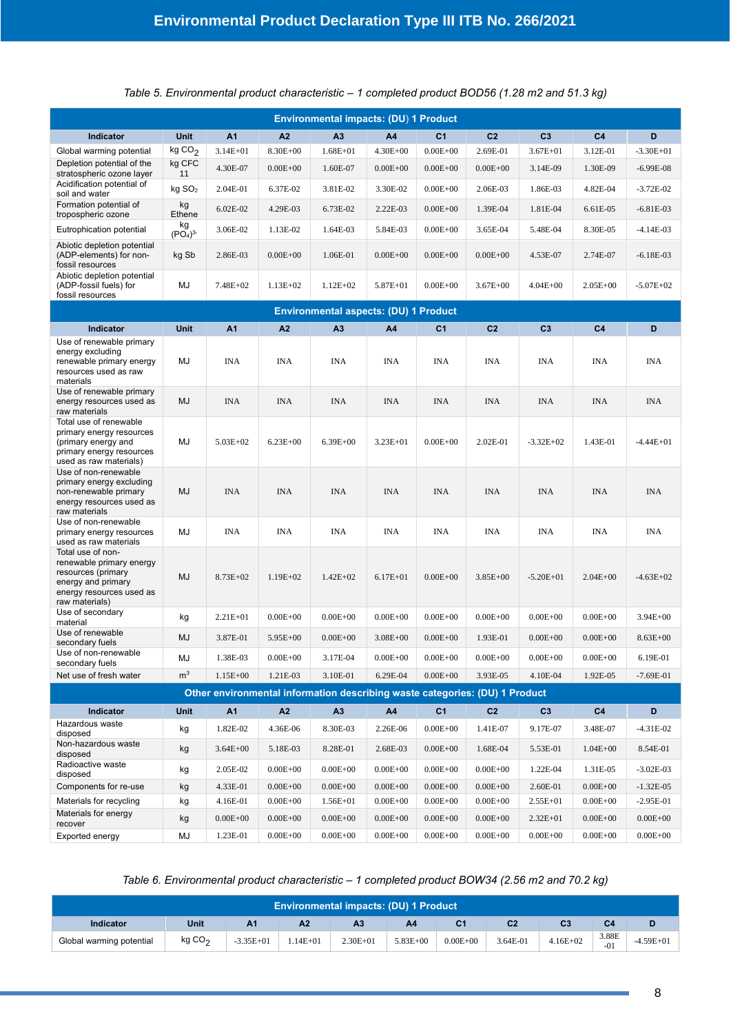**/2020** *Table 5. Environmental product characteristic – 1 completed product BOD56 (1.28 m2 and 51.3 kg)*

| <b>Environmental impacts: (DU) 1 Product</b>                                                                                            |                                       |                |              |                                                                             |              |                |                |                |                |               |
|-----------------------------------------------------------------------------------------------------------------------------------------|---------------------------------------|----------------|--------------|-----------------------------------------------------------------------------|--------------|----------------|----------------|----------------|----------------|---------------|
| Indicator                                                                                                                               | Unit                                  | A <sub>1</sub> | A2           | A <sub>3</sub>                                                              | A4           | C <sub>1</sub> | C <sub>2</sub> | C <sub>3</sub> | C <sub>4</sub> | D             |
| Global warming potential                                                                                                                | kgCO <sub>2</sub>                     | $3.14E + 01$   | 8.30E+00     | $1.68E + 01$                                                                | $4.30E + 00$ | $0.00E + 00$   | 2.69E-01       | $3.67E + 01$   | 3.12E-01       | $-3.30E + 01$ |
| Depletion potential of the<br>stratospheric ozone layer                                                                                 | kg CFC<br>11                          | 4.30E-07       | $0.00E + 00$ | 1.60E-07                                                                    | $0.00E + 00$ | $0.00E + 00$   | $0.00E + 00$   | 3.14E-09       | 1.30E-09       | $-6.99E-08$   |
| Acidification potential of<br>soil and water                                                                                            | kg SO <sub>2</sub>                    | 2.04E-01       | 6.37E-02     | 3.81E-02                                                                    | 3.30E-02     | $0.00E + 00$   | 2.06E-03       | 1.86E-03       | 4.82E-04       | $-3.72E-02$   |
| Formation potential of<br>tropospheric ozone                                                                                            | kg<br>Ethene                          | 6.02E-02       | 4.29E-03     | 6.73E-02                                                                    | 2.22E-03     | $0.00E + 00$   | 1.39E-04       | 1.81E-04       | 6.61E-05       | $-6.81E-03$   |
| Eutrophication potential                                                                                                                | kg<br>(PO <sub>4</sub> ) <sup>3</sup> | 3.06E-02       | 1.13E-02     | 1.64E-03                                                                    | 5.84E-03     | $0.00E + 00$   | 3.65E-04       | 5.48E-04       | 8.30E-05       | $-4.14E-03$   |
| Abiotic depletion potential<br>(ADP-elements) for non-<br>fossil resources                                                              | kg Sb                                 | 2.86E-03       | $0.00E + 00$ | 1.06E-01                                                                    | $0.00E + 00$ | $0.00E + 00$   | $0.00E + 00$   | 4.53E-07       | 2.74E-07       | $-6.18E-03$   |
| Abiotic depletion potential<br>(ADP-fossil fuels) for<br>fossil resources                                                               | MJ                                    | 7.48E+02       | $1.13E+02$   | $1.12E + 02$                                                                | 5.87E+01     | $0.00E + 00$   | $3.67E + 00$   | $4.04E + 00$   | $2.05E + 00$   | $-5.07E+02$   |
|                                                                                                                                         |                                       |                |              | <b>Environmental aspects: (DU) 1 Product</b>                                |              |                |                |                |                |               |
| Indicator                                                                                                                               | <b>Unit</b>                           | A <sub>1</sub> | A2           | A <sub>3</sub>                                                              | A4           | C <sub>1</sub> | C <sub>2</sub> | C <sub>3</sub> | C <sub>4</sub> | D             |
| Use of renewable primary<br>energy excluding<br>renewable primary energy<br>resources used as raw<br>materials                          | MJ                                    | <b>INA</b>     | <b>INA</b>   | <b>INA</b>                                                                  | <b>INA</b>   | <b>INA</b>     | <b>INA</b>     | <b>INA</b>     | <b>INA</b>     | <b>INA</b>    |
| Use of renewable primary<br>energy resources used as<br>raw materials                                                                   | MJ                                    | <b>INA</b>     | <b>INA</b>   | <b>INA</b>                                                                  | <b>INA</b>   | <b>INA</b>     | <b>INA</b>     | <b>INA</b>     | <b>INA</b>     | <b>INA</b>    |
| Total use of renewable<br>primary energy resources<br>(primary energy and<br>primary energy resources<br>used as raw materials)         | MJ                                    | $5.03E + 02$   | $6.23E + 00$ | $6.39E + 00$                                                                | $3.23E + 01$ | $0.00E + 00$   | 2.02E-01       | $-3.32E + 02$  | 1.43E-01       | $-4.44E + 01$ |
| Use of non-renewable<br>primary energy excluding<br>non-renewable primary<br>energy resources used as<br>raw materials                  | MJ                                    | <b>INA</b>     | <b>INA</b>   | <b>INA</b>                                                                  | <b>INA</b>   | <b>INA</b>     | <b>INA</b>     | <b>INA</b>     | <b>INA</b>     | <b>INA</b>    |
| Use of non-renewable<br>primary energy resources<br>used as raw materials                                                               | MJ                                    | <b>INA</b>     | <b>INA</b>   | <b>INA</b>                                                                  | <b>INA</b>   | <b>INA</b>     | <b>INA</b>     | <b>INA</b>     | <b>INA</b>     | <b>INA</b>    |
| Total use of non-<br>renewable primary energy<br>resources (primary<br>energy and primary<br>energy resources used as<br>raw materials) | MJ                                    | 8.73E+02       | $1.19E + 02$ | $1.42E + 02$                                                                | $6.17E + 01$ | $0.00E + 00$   | $3.85E + 00$   | $-5.20E + 01$  | $2.04E + 00$   | $-4.63E+02$   |
| Use of secondary<br>material                                                                                                            | kg                                    | $2.21E + 01$   | $0.00E + 00$ | $0.00E + 00$                                                                | $0.00E + 00$ | $0.00E + 00$   | $0.00E + 00$   | $0.00E + 00$   | $0.00E + 00$   | $3.94E + 00$  |
| Use of renewable<br>secondary fuels                                                                                                     | MJ                                    | 3.87E-01       | 5.95E+00     | $0.00E + 00$                                                                | $3.08E + 00$ | $0.00E + 00$   | 1.93E-01       | $0.00E + 00$   | $0.00E + 00$   | $8.63E + 00$  |
| Use of non-renewable<br>secondary fuels                                                                                                 | MJ                                    | 1.38E-03       | $0.00E + 00$ | 3.17E-04                                                                    | $0.00E + 00$ | $0.00E + 00$   | $0.00E + 00$   | $0.00E + 00$   | $0.00E + 00$   | 6.19E-01      |
| Net use of fresh water                                                                                                                  | m <sup>3</sup>                        | $1.15E + 00$   | 1.21E-03     | 3.10E-01                                                                    | 6.29E-04     | $0.00E + 00$   | 3.93E-05       | 4.10E-04       | 1.92E-05       | $-7.69E-01$   |
|                                                                                                                                         |                                       |                |              | Other environmental information describing waste categories: (DU) 1 Product |              |                |                |                |                |               |
| Indicator                                                                                                                               | Unit                                  | A1             | A2           | A3                                                                          | A4           | C <sub>1</sub> | C <sub>2</sub> | C <sub>3</sub> | C <sub>4</sub> | D             |
| Hazardous waste<br>disposed                                                                                                             | kg                                    | 1.82E-02       | 4.36E-06     | 8.30E-03                                                                    | 2.26E-06     | $0.00E + 00$   | 1.41E-07       | 9.17E-07       | 3.48E-07       | $-4.31E-02$   |
| Non-hazardous waste<br>disposed                                                                                                         | kg                                    | $3.64E + 00$   | 5.18E-03     | 8.28E-01                                                                    | 2.68E-03     | $0.00E + 00$   | 1.68E-04       | 5.53E-01       | $1.04E + 00$   | 8.54E-01      |
| Radioactive waste<br>disposed                                                                                                           | kg                                    | 2.05E-02       | $0.00E + 00$ | $0.00E + 00$                                                                | $0.00E + 00$ | $0.00E + 00$   | $0.00E + 00$   | 1.22E-04       | 1.31E-05       | $-3.02E-03$   |
| Components for re-use                                                                                                                   | kg                                    | 4.33E-01       | $0.00E + 00$ | $0.00E + 00$                                                                | $0.00E + 00$ | $0.00E + 00$   | $0.00E + 00$   | 2.60E-01       | $0.00E + 00$   | $-1.32E-05$   |
| Materials for recycling                                                                                                                 | kg                                    | 4.16E-01       | $0.00E + 00$ | $1.56E + 01$                                                                | $0.00E + 00$ | $0.00E + 00$   | $0.00E + 00$   | $2.55E + 01$   | $0.00E + 00$   | $-2.95E-01$   |
| Materials for energy<br>recover                                                                                                         | kg                                    | $0.00E + 00$   | $0.00E + 00$ | $0.00E + 00$                                                                | $0.00E + 00$ | $0.00E + 00$   | $0.00E + 00$   | $2.32E + 01$   | $0.00E + 00$   | $0.00E + 00$  |
| Exported energy                                                                                                                         | MJ                                    | 1.23E-01       | $0.00E + 00$ | $0.00E + 00$                                                                | $0.00E + 00$ | $0.00E + 00$   | $0.00E + 00$   | $0.00E + 00$   | $0.00E + 00$   | $0.00E + 00$  |

#### *Table 6. Environmental product characteristic – 1 completed product BOW34 (2.56 m2 and 70.2 kg)*

|                          | <b>Environmental impacts: (DU) 1 Product,</b> |                |                |              |              |              |                |              |                |             |  |  |  |  |
|--------------------------|-----------------------------------------------|----------------|----------------|--------------|--------------|--------------|----------------|--------------|----------------|-------------|--|--|--|--|
| Indicator                | Unit                                          | A <sub>1</sub> | A <sub>2</sub> | A3           | A4           |              | C <sub>2</sub> | C3           | C <sub>4</sub> |             |  |  |  |  |
| Global warming potential | kgCO <sub>2</sub>                             | $-3.35E+01$    | $.14E + 01$    | $2.30E + 01$ | $5.83E + 00$ | $0.00E + 00$ | 3.64E-01       | $4.16E + 02$ | 3.88E<br>$-01$ | $-4.59E+01$ |  |  |  |  |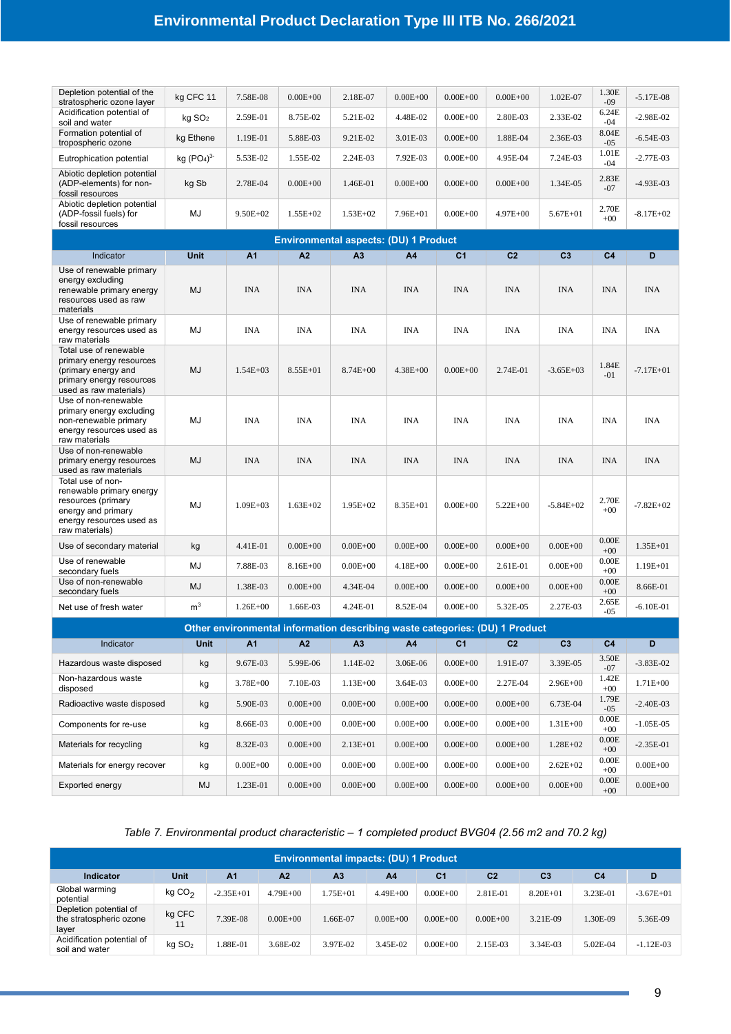| Depletion potential of the<br>stratospheric ozone layer                                                                                 | kg CFC 11                          | 7.58E-08       | $0.00E + 00$ | 2.18E-07                                                                    | $0.00E + 00$   | $0.00E + 00$   | $0.00E + 00$   | 1.02E-07       | 1.30E<br>$-09$ | $-5.17E-08$   |
|-----------------------------------------------------------------------------------------------------------------------------------------|------------------------------------|----------------|--------------|-----------------------------------------------------------------------------|----------------|----------------|----------------|----------------|----------------|---------------|
| Acidification potential of<br>soil and water                                                                                            | $kg$ SO <sub>2</sub>               | 2.59E-01       | 8.75E-02     | 5.21E-02                                                                    | 4.48E-02       | $0.00E + 00$   | 2.80E-03       | 2.33E-02       | 6.24E<br>$-04$ | $-2.98E - 02$ |
| Formation potential of<br>tropospheric ozone                                                                                            | kg Ethene                          | 1.19E-01       | 5.88E-03     | 9.21E-02                                                                    | 3.01E-03       | $0.00E + 00$   | 1.88E-04       | 2.36E-03       | 8.04E<br>$-05$ | $-6.54E-03$   |
| Eutrophication potential                                                                                                                | kg (PO <sub>4</sub> ) <sup>3</sup> | 5.53E-02       | 1.55E-02     | 2.24E-03                                                                    | 7.92E-03       | $0.00E + 00$   | 4.95E-04       | 7.24E-03       | 1.01E<br>-04   | $-2.77E-03$   |
| Abiotic depletion potential<br>(ADP-elements) for non-<br>fossil resources                                                              | kg Sb                              | 2.78E-04       | $0.00E + 00$ | 1.46E-01                                                                    | $0.00E + 00$   | $0.00E + 00$   | $0.00E + 00$   | 1.34E-05       | 2.83E<br>$-07$ | $-4.93E-03$   |
| Abiotic depletion potential<br>(ADP-fossil fuels) for<br>fossil resources                                                               | MJ                                 | $9.50E + 02$   | $1.55E+02$   | $1.53E+02$                                                                  | $7.96E + 01$   | $0.00E + 00$   | $4.97E + 00$   | $5.67E + 01$   | 2.70E<br>$+00$ | $-8.17E+02$   |
|                                                                                                                                         |                                    |                |              | <b>Environmental aspects: (DU) 1 Product</b>                                |                |                |                |                |                |               |
| Indicator                                                                                                                               | <b>Unit</b>                        | A <sub>1</sub> | A2           | A3                                                                          | A <sub>4</sub> | C <sub>1</sub> | C <sub>2</sub> | C <sub>3</sub> | C <sub>4</sub> | D             |
| Use of renewable primary<br>energy excluding<br>renewable primary energy<br>resources used as raw<br>materials                          | <b>MJ</b>                          | <b>INA</b>     | <b>INA</b>   | <b>INA</b>                                                                  | <b>INA</b>     | <b>INA</b>     | <b>INA</b>     | <b>INA</b>     | <b>INA</b>     | <b>INA</b>    |
| Use of renewable primary<br>energy resources used as<br>raw materials                                                                   | MJ                                 | <b>INA</b>     | <b>INA</b>   | <b>INA</b>                                                                  | <b>INA</b>     | <b>INA</b>     | <b>INA</b>     | <b>INA</b>     | <b>INA</b>     | <b>INA</b>    |
| Total use of renewable<br>primary energy resources<br>(primary energy and<br>primary energy resources<br>used as raw materials)         | MJ                                 | $1.54E + 03$   | $8.55E + 01$ | $8.74E + 00$                                                                | $4.38E + 00$   | $0.00E + 00$   | 2.74E-01       | $-3.65E+03$    | 1.84E<br>$-01$ | $-7.17E + 01$ |
| Use of non-renewable<br>primary energy excluding<br>non-renewable primary<br>energy resources used as<br>raw materials                  | MJ                                 | <b>INA</b>     | <b>INA</b>   | <b>INA</b>                                                                  | <b>INA</b>     | <b>INA</b>     | <b>INA</b>     | <b>INA</b>     | <b>INA</b>     | <b>INA</b>    |
| Use of non-renewable<br>primary energy resources<br>used as raw materials                                                               | <b>MJ</b>                          | <b>INA</b>     | <b>INA</b>   | <b>INA</b>                                                                  | <b>INA</b>     | <b>INA</b>     | <b>INA</b>     | <b>INA</b>     | INA            | <b>INA</b>    |
| Total use of non-<br>renewable primary energy<br>resources (primary<br>energy and primary<br>energy resources used as<br>raw materials) | MJ                                 | $1.09E + 03$   | $1.63E + 02$ | $1.95E+02$                                                                  | 8.35E+01       | $0.00E + 00$   | $5.22E + 00$   | $-5.84E+02$    | 2.70E<br>$+00$ | $-7.82E + 02$ |
| Use of secondary material                                                                                                               | kg                                 | 4.41E-01       | $0.00E + 00$ | $0.00E + 00$                                                                | $0.00E + 00$   | $0.00E + 00$   | $0.00E + 00$   | $0.00E + 00$   | 0.00E<br>$+00$ | 1.35E+01      |
| Use of renewable<br>secondary fuels                                                                                                     | MJ                                 | 7.88E-03       | $8.16E + 00$ | $0.00E + 00$                                                                | $4.18E + 00$   | $0.00E + 00$   | 2.61E-01       | $0.00E + 00$   | 0.00E<br>$+00$ | 1.19E+01      |
| Use of non-renewable<br>secondary fuels                                                                                                 | MJ                                 | 1.38E-03       | $0.00E + 00$ | 4.34E-04                                                                    | $0.00E + 00$   | $0.00E + 00$   | $0.00E + 00$   | $0.00E + 00$   | 0.00E<br>$+00$ | 8.66E-01      |
| Net use of fresh water                                                                                                                  | m <sup>3</sup>                     | $1.26E + 00$   | 1.66E-03     | 4.24E-01                                                                    | 8.52E-04       | $0.00E + 00$   | 5.32E-05       | 2.27E-03       | 2.65E<br>$-05$ | $-6.10E-01$   |
|                                                                                                                                         |                                    |                |              | Other environmental information describing waste categories: (DU) 1 Product |                |                |                |                |                |               |
| Indicator                                                                                                                               | <b>Unit</b>                        | A1             | A2           | A <sub>3</sub>                                                              | A4             | C <sub>1</sub> | C <sub>2</sub> | C3             | C <sub>4</sub> | D             |
| Hazardous waste disposed                                                                                                                | kg                                 | 9.67E-03       | 5.99E-06     | 1.14E-02                                                                    | 3.06E-06       | $0.00E + 00$   | 1.91E-07       | 3.39E-05       | 3.50E<br>$-07$ | $-3.83E-02$   |
| Non-hazardous waste<br>disposed                                                                                                         | kg                                 | 3.78E+00       | 7.10E-03     | $1.13E + 00$                                                                | 3.64E-03       | $0.00E + 00$   | 2.27E-04       | $2.96E + 00$   | 1.42E<br>$+00$ | 1.71E+00      |
| Radioactive waste disposed                                                                                                              | kg                                 | 5.90E-03       | $0.00E + 00$ | $0.00E + 00$                                                                | $0.00E + 00$   | $0.00E + 00$   | $0.00E + 00$   | 6.73E-04       | 1.79E<br>$-05$ | $-2.40E-03$   |
| Components for re-use                                                                                                                   | kg                                 | 8.66E-03       | $0.00E + 00$ | $0.00E + 00$                                                                | $0.00E + 00$   | $0.00E + 00$   | $0.00E + 00$   | $1.31E + 00$   | 0.00E<br>$+00$ | $-1.05E-05$   |
| Materials for recycling                                                                                                                 | kg                                 | 8.32E-03       | $0.00E + 00$ | $2.13E + 01$                                                                | $0.00E + 00$   | $0.00E + 00$   | $0.00E + 00$   | $1.28E + 02$   | 0.00E<br>$+00$ | $-2.35E-01$   |
| Materials for energy recover                                                                                                            | kg                                 | $0.00E + 00$   | $0.00E + 00$ | $0.00E + 00$                                                                | $0.00E + 00$   | $0.00E + 00$   | $0.00E + 00$   | $2.62E + 02$   | 0.00E<br>$+00$ | $0.00E + 00$  |
| Exported energy                                                                                                                         | MJ                                 | 1.23E-01       | $0.00E + 00$ | $0.00E + 00$                                                                | $0.00E + 00$   | $0.00E + 00$   | $0.00E + 00$   | $0.00E + 00$   | 0.00E<br>$+00$ | $0.00E + 00$  |

*Table 7. Environmental product characteristic – 1 completed product BVG04 (2.56 m2 and 70.2 kg)*

|                                                            | <b>Environmental impacts: (DU) 1 Product</b> |                |                |                |                |                |                |                |                |             |  |  |  |  |
|------------------------------------------------------------|----------------------------------------------|----------------|----------------|----------------|----------------|----------------|----------------|----------------|----------------|-------------|--|--|--|--|
| Indicator                                                  | Unit                                         | A <sub>1</sub> | A <sub>2</sub> | A <sub>3</sub> | A <sub>4</sub> | C <sub>1</sub> | C <sub>2</sub> | C <sub>3</sub> | C <sub>4</sub> | D           |  |  |  |  |
| Global warming<br>potential                                | kgCO <sub>2</sub>                            | $-2.35E+01$    | $4.79E + 00$   | $.75E + 01$    | $4.49E + 00$   | $0.00E + 00$   | 2.81E-01       | $8.20E + 01$   | 3.23E-01       | $-3.67E+01$ |  |  |  |  |
| Depletion potential of<br>the stratospheric ozone<br>layer | kg CFC<br>11                                 | 7.39E-08       | $0.00E + 00$   | 1.66E-07       | $0.00E + 00$   | $0.00E + 00$   | $0.00E + 00$   | 3.21E-09       | 1.30E-09       | 5.36E-09    |  |  |  |  |
| Acidification potential of<br>soil and water               | kg SO <sub>2</sub>                           | $0.88E - 01$   | 3.68E-02       | 3.97E-02       | 3.45E-02       | $0.00E + 00$   | 2.15E-03       | 3.34E-03       | 5.02E-04       | $-1.12E-03$ |  |  |  |  |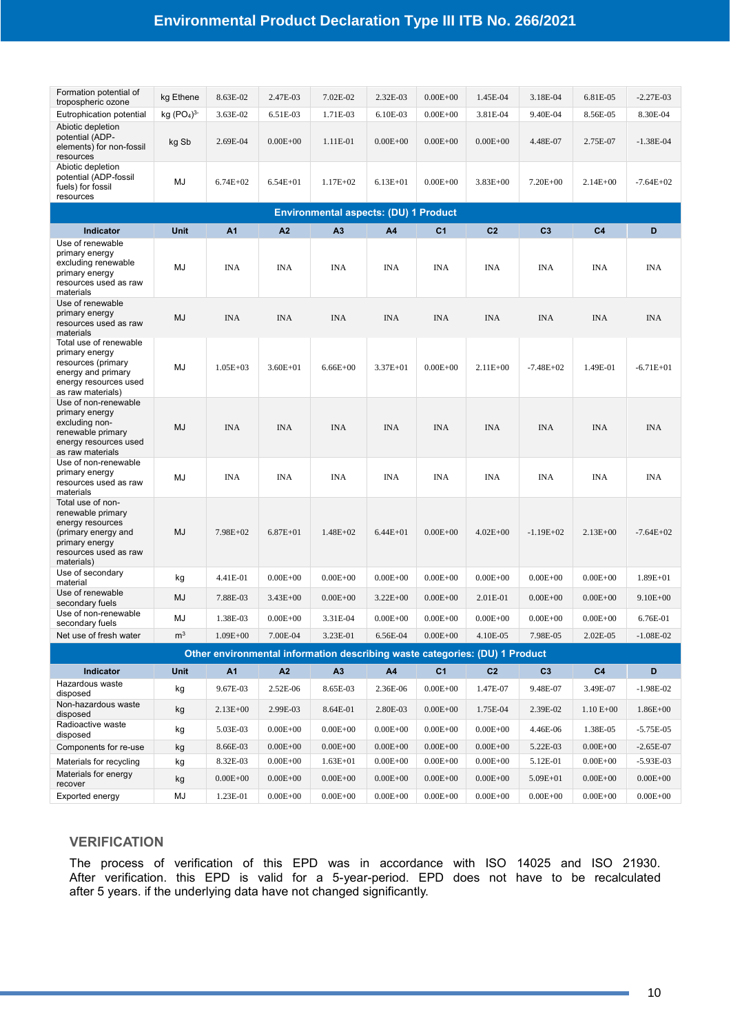### **Environmental Product Declaration Type III ITB No. 266/2021**

| Formation potential of<br>tropospheric ozone                                                                                               | kg Ethene      | 8.63E-02               | 2.47E-03                     | 7.02E-02                                                                    | 2.32E-03                     | $0.00E + 00$                 | 1.45E-04                     | 3.18E-04                 | 6.81E-05                 | $-2.27E-03$                 |
|--------------------------------------------------------------------------------------------------------------------------------------------|----------------|------------------------|------------------------------|-----------------------------------------------------------------------------|------------------------------|------------------------------|------------------------------|--------------------------|--------------------------|-----------------------------|
| Eutrophication potential                                                                                                                   | kg $(PO4)3$    | 3.63E-02               | 6.51E-03                     | 1.71E-03                                                                    | 6.10E-03                     | $0.00E + 00$                 | 3.81E-04                     | 9.40E-04                 | 8.56E-05                 | 8.30E-04                    |
| Abiotic depletion<br>potential (ADP-<br>elements) for non-fossil<br>resources                                                              | kg Sb          | 2.69E-04               | $0.00E + 00$                 | 1.11E-01                                                                    | $0.00E + 00$                 | $0.00E + 00$                 | $0.00E + 00$                 | 4.48E-07                 | 2.75E-07                 | $-1.38E - 04$               |
| Abiotic depletion<br>potential (ADP-fossil<br>fuels) for fossil<br>resources                                                               | MJ             | $6.74E+02$             | $6.54E + 01$                 | $1.17E + 02$                                                                | $6.13E + 01$                 | $0.00E + 00$                 | $3.83E + 00$                 | $7.20E + 00$             | $2.14E + 00$             | $-7.64E + 02$               |
|                                                                                                                                            |                |                        |                              | <b>Environmental aspects: (DU) 1 Product</b>                                |                              |                              |                              |                          |                          |                             |
| Indicator                                                                                                                                  | <b>Unit</b>    | A <sub>1</sub>         | A <sub>2</sub>               | A <sub>3</sub>                                                              | A4                           | C <sub>1</sub>               | C <sub>2</sub>               | C <sub>3</sub>           | C <sub>4</sub>           | D                           |
| Use of renewable<br>primary energy<br>excluding renewable<br>primary energy<br>resources used as raw<br>materials                          | MJ             | <b>INA</b>             | <b>INA</b>                   | <b>INA</b>                                                                  | <b>INA</b>                   | <b>INA</b>                   | <b>INA</b>                   | <b>INA</b>               | <b>INA</b>               | <b>INA</b>                  |
| Use of renewable<br>primary energy<br>resources used as raw<br>materials                                                                   | <b>MJ</b>      | <b>INA</b>             | <b>INA</b>                   | <b>INA</b>                                                                  | <b>INA</b>                   | <b>INA</b>                   | <b>INA</b>                   | <b>INA</b>               | <b>INA</b>               | <b>INA</b>                  |
| Total use of renewable<br>primary energy<br>resources (primary<br>energy and primary<br>energy resources used<br>as raw materials)         | MJ             | $1.05E + 03$           | $3.60E + 01$                 | $6.66E + 00$                                                                | $3.37E + 01$                 | $0.00E + 00$                 | $2.11E+00$                   | $-7.48E + 02$            | 1.49E-01                 | $-6.71E+01$                 |
| Use of non-renewable<br>primary energy<br>excluding non-<br>renewable primary<br>energy resources used<br>as raw materials                 | MJ             | <b>INA</b>             | <b>INA</b>                   | <b>INA</b>                                                                  | <b>INA</b>                   | <b>INA</b>                   | <b>INA</b>                   | <b>INA</b>               | <b>INA</b>               | <b>INA</b>                  |
| Use of non-renewable<br>primary energy<br>resources used as raw<br>materials                                                               | MJ             | <b>INA</b>             | <b>INA</b>                   | <b>INA</b>                                                                  | <b>INA</b>                   | INA                          | <b>INA</b>                   | <b>INA</b>               | <b>INA</b>               | <b>INA</b>                  |
| Total use of non-<br>renewable primary<br>energy resources<br>(primary energy and<br>primary energy<br>resources used as raw<br>materials) | MJ             | $7.98E+02$             | $6.87E + 01$                 | $1.48E + 02$                                                                | $6.44E + 01$                 | $0.00E + 00$                 | $4.02E + 00$                 | $-1.19E+02$              | $2.13E + 00$             | $-7.64E+02$                 |
| Use of secondary<br>material                                                                                                               | kg             | 4.41E-01               | $0.00E + 00$                 | $0.00E + 00$                                                                | $0.00E + 00$                 | $0.00E + 00$                 | $0.00E + 00$                 | $0.00E + 00$             | $0.00E + 00$             | $1.89E + 01$                |
| Use of renewable<br>secondary fuels                                                                                                        | <b>MJ</b>      | 7.88E-03               | $3.43E + 00$                 | $0.00E + 00$                                                                | $3.22E + 00$                 | $0.00E + 00$                 | 2.01E-01                     | $0.00E + 00$             | $0.00E + 00$             | $9.10E + 00$                |
| Use of non-renewable<br>secondary fuels                                                                                                    | MJ             | 1.38E-03               | $0.00E + 00$                 | 3.31E-04                                                                    | $0.00E + 00$                 | $0.00E + 00$                 | $0.00E + 00$                 | $0.00E + 00$             | $0.00E + 00$             | 6.76E-01                    |
| Net use of fresh water                                                                                                                     | m <sup>3</sup> | $1.09E + 00$           | 7.00E-04                     | 3.23E-01                                                                    | 6.56E-04                     | $0.00E + 00$                 | 4.10E-05                     | 7.98E-05                 | 2.02E-05                 | $-1.08E-02$                 |
|                                                                                                                                            |                |                        |                              | Other environmental information describing waste categories: (DU) 1 Product |                              |                              |                              |                          |                          |                             |
| <b>Indicator</b>                                                                                                                           | Unit           | A <sub>1</sub>         | A2                           | A3                                                                          | A4                           | C <sub>1</sub>               | C <sub>2</sub>               | C <sub>3</sub>           | C <sub>4</sub>           | D                           |
| Hazardous waste                                                                                                                            |                |                        |                              |                                                                             |                              |                              |                              | 9.48E-07                 |                          |                             |
| disposed<br>Non-hazardous waste                                                                                                            | kg<br>kg       | 9.67E-03<br>$2.13E+00$ | 2.52E-06<br>2.99E-03         | 8.65E-03<br>8.64E-01                                                        | 2.36E-06<br>2.80E-03         | $0.00E + 00$<br>$0.00E + 00$ | 1.47E-07<br>1.75E-04         | 2.39E-02                 | 3.49E-07<br>$1.10 E+00$  | $-1.98E-02$<br>$1.86E + 00$ |
| disposed<br>Radioactive waste                                                                                                              |                | 5.03E-03               |                              |                                                                             |                              |                              |                              |                          |                          |                             |
| disposed<br>Components for re-use                                                                                                          | kg<br>kg       | 8.66E-03               | $0.00E + 00$<br>$0.00E + 00$ | $0.00E + 00$<br>$0.00E + 00$                                                | $0.00E + 00$<br>$0.00E + 00$ | $0.00E + 00$<br>$0.00E + 00$ | $0.00E + 00$<br>$0.00E + 00$ | 4.46E-06<br>5.22E-03     | 1.38E-05<br>$0.00E + 00$ | $-5.75E-05$<br>$-2.65E-07$  |
| Materials for recycling                                                                                                                    |                | 8.32E-03               | $0.00E + 00$                 | $1.63E + 01$                                                                | $0.00E + 00$                 | $0.00E + 00$                 | $0.00E + 00$                 |                          | $0.00E + 00$             | $-5.93E-03$                 |
| Materials for energy                                                                                                                       | kg<br>kg       | $0.00E + 00$           | $0.00E + 00$                 | $0.00E + 00$                                                                | $0.00E + 00$                 | $0.00E + 00$                 | $0.00E + 00$                 | 5.12E-01<br>$5.09E + 01$ | $0.00E + 00$             | $0.00E + 00$                |
| recover                                                                                                                                    |                |                        |                              |                                                                             |                              |                              |                              |                          |                          |                             |
| Exported energy                                                                                                                            | MJ             | 1.23E-01               | $0.00E + 00$                 | $0.00E + 00$                                                                | $0.00E + 00$                 | $0.00E + 00$                 | $0.00E + 00$                 | $0.00E + 00$             | $0.00E + 00$             | $0.00E + 00$                |

#### **VERIFICATION**

The process of verification of this EPD was in accordance with ISO 14025 and ISO 21930. After verification. this EPD is valid for a 5-year-period. EPD does not have to be recalculated after 5 years. if the underlying data have not changed significantly.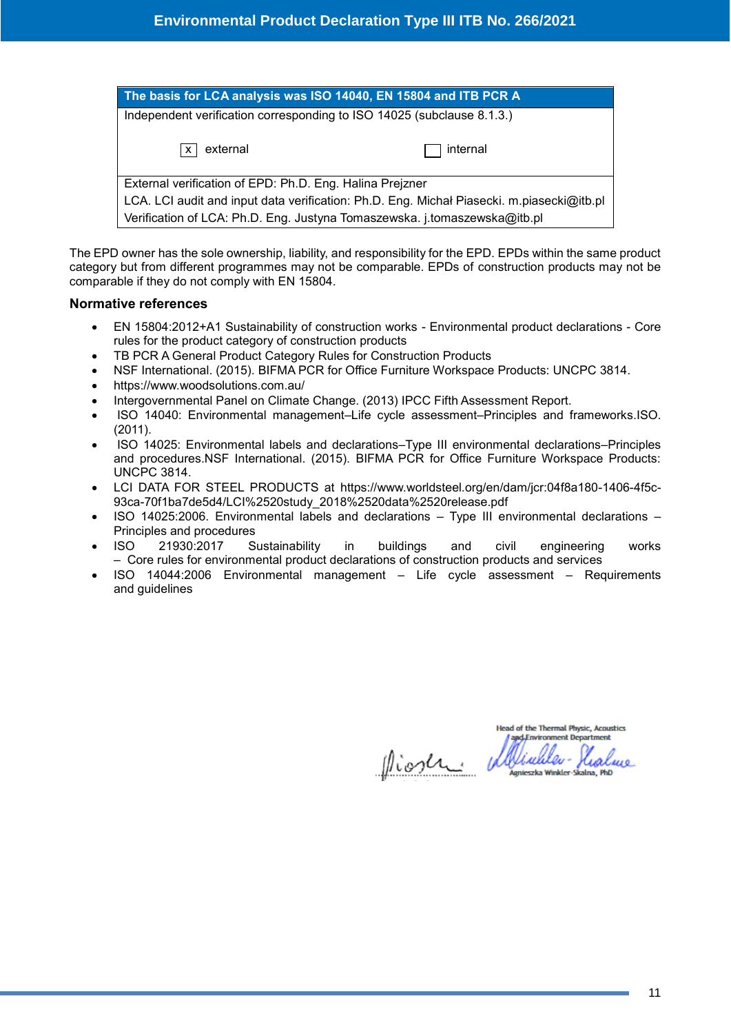| The basis for LCA analysis was ISO 14040, EN 15804 and ITB PCR A                          |
|-------------------------------------------------------------------------------------------|
| Independent verification corresponding to ISO 14025 (subclause 8.1.3.)                    |
| external<br>internal<br>$\mathsf{x}$                                                      |
| External verification of EPD: Ph.D. Eng. Halina Prejzner                                  |
| LCA. LCI audit and input data verification: Ph.D. Eng. Michał Piasecki. m.piasecki@itb.pl |
| Verification of LCA: Ph.D. Eng. Justyna Tomaszewska. j.tomaszewska@itb.pl                 |

The EPD owner has the sole ownership, liability, and responsibility for the EPD. EPDs within the same product category but from different programmes may not be comparable. EPDs of construction products may not be comparable if they do not comply with EN 15804.

#### **Normative references**

- EN 15804:2012+A1 Sustainability of construction works Environmental product declarations Core rules for the product category of construction products
- TB PCR A General Product Category Rules for Construction Products
- NSF International. (2015). BIFMA PCR for Office Furniture Workspace Products: UNCPC 3814.
- https://www.woodsolutions.com.au/
- Intergovernmental Panel on Climate Change. (2013) IPCC Fifth Assessment Report.
- ISO 14040: Environmental management–Life cycle assessment–Principles and frameworks.ISO. (2011).
- ISO 14025: Environmental labels and declarations–Type III environmental declarations–Principles and procedures.NSF International. (2015). BIFMA PCR for Office Furniture Workspace Products: UNCPC 3814.
- LCI DATA FOR STEEL PRODUCTS at [https://www.worldsteel.org/en/dam/jcr:04f8a180-1406-4f5c-](https://www.worldsteel.org/en/dam/jcr:04f8a180-1406-4f5c-93ca-70f1ba7de5d4/LCI%2520study_2018%2520data%2520release.pdf)[93ca-70f1ba7de5d4/LCI%2520study\\_2018%2520data%2520release.pdf](https://www.worldsteel.org/en/dam/jcr:04f8a180-1406-4f5c-93ca-70f1ba7de5d4/LCI%2520study_2018%2520data%2520release.pdf)
- ISO 14025:2006. Environmental labels and declarations Type III environmental declarations Principles and procedures
- ISO 21930:2017 Sustainability in buildings and civil engineering works – Core rules for environmental product declarations of construction products and services
- ISO 14044:2006 Environmental management Life cycle assessment Requirements and guidelines

**Head of the Thermal Physic, Acoustics** and Environment Department

Niosen

inheleylealure tieszka Winkler-Skalna, PhD